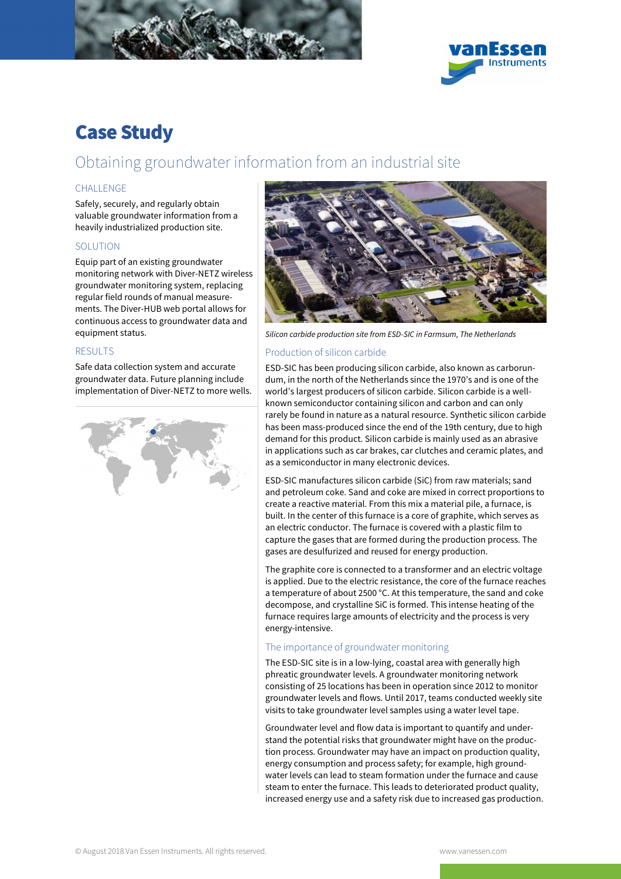



# Case Study

# Obtaining groundwater information from an industrial site

## **CHALLENGE**

Safely, securely, and regularly obtain valuable groundwater information from a heavily industrialized production site.

#### **SOLUTION**

Equip part of an existing groundwater monitoring network with Diver-NETZ wireless groundwater monitoring system, replacing regular field rounds of manual measurements. The Diver-HUB web portal allows for continuous access to groundwater data and equipment status.

#### RESULTS

Safe data collection system and accurate groundwater data. Future planning include implementation of Diver-NETZ to more wells.





Silicon carbide production site from ESD-SIC in Farmsum, The Netherlands

#### Production of silicon carbide

ESD-SIC has been producing silicon carbide, also known as carborundum, in the north of the Netherlands since the 1970's and is one of the world's largest producers of silicon carbide. Silicon carbide is a wellknown semiconductor containing silicon and carbon and can only rarely be found in nature as a natural resource. Synthetic silicon carbide has been mass-produced since the end of the 19th century, due to high demand for this product. Silicon carbide is mainly used as an abrasive in applications such as car brakes, car clutches and ceramic plates, and as a semiconductor in many electronic devices.

ESD-SIC manufactures silicon carbide (SiC) from raw materials; sand and petroleum coke. Sand and coke are mixed in correct proportions to create a reactive material. From this mix a material pile, a furnace, is built. In the center of this furnace is a core of graphite, which serves as an electric conductor. The furnace is covered with a plastic film to capture the gases that are formed during the production process. The gases are desulfurized and reused for energy production.

The graphite core is connected to a transformer and an electric voltage is applied. Due to the electric resistance, the core of the furnace reaches a temperature of about 2500 °C. At this temperature, the sand and coke decompose, and crystalline SiC is formed. This intense heating of the furnace requires large amounts of electricity and the process is very energy-intensive.

#### The importance of groundwater monitoring

The ESD-SIC site is in a low-lying, coastal area with generally high phreatic groundwater levels. A groundwater monitoring network consisting of 25 locations has been in operation since 2012 to monitor groundwater levels and flows. Until 2017, teams conducted weekly site visits to take groundwater level samples using a water level tape.

Groundwater level and flow data is important to quantify and understand the potential risks that groundwater might have on the production process. Groundwater may have an impact on production quality, energy consumption and process safety; for example, high groundwater levels can lead to steam formation under the furnace and cause steam to enter the furnace. This leads to deteriorated product quality, increased energy use and a safety risk due to increased gas production.